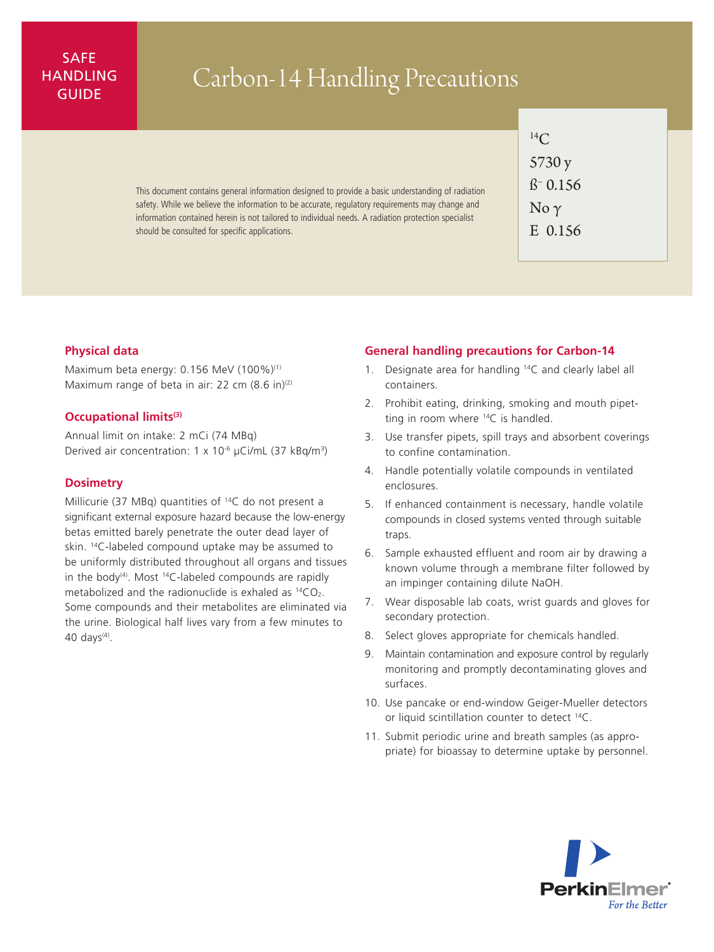## SAFE HANDLING

# ANDLING Carbon-14 Handling Precautions

This document contains general information designed to provide a basic understanding of radiation safety. While we believe the information to be accurate, regulatory requirements may change and information contained herein is not tailored to individual needs. A radiation protection specialist should be consulted for specific applications.

 $^{14}C$ 5730 y ß– 0.156  $\overline{\text{No }\gamma}$ E 0.156

### **Physical data**

Maximum beta energy: 0.156 MeV (100%)<sup>(1)</sup> Maximum range of beta in air: 22 cm  $(8.6 \text{ in})^{(2)}$ 

#### **Occupational limits(3)**

Annual limit on intake: 2 mCi (74 MBq) Derived air concentration: 1 x 10-6 µCi/mL (37 kBq/m3)

### **Dosimetry**

Millicurie (37 MBq) quantities of 14C do not present a significant external exposure hazard because the low-energy betas emitted barely penetrate the outer dead layer of skin. 14C-labeled compound uptake may be assumed to be uniformly distributed throughout all organs and tissues in the body<sup>(4)</sup>. Most <sup>14</sup>C-labeled compounds are rapidly metabolized and the radionuclide is exhaled as  $^{14}CO<sub>2</sub>$ . Some compounds and their metabolites are eliminated via the urine. Biological half lives vary from a few minutes to 40 days $(4)$ .

#### **General handling precautions for Carbon-14**

- 1. Designate area for handling 14C and clearly label all containers.
- 2. Prohibit eating, drinking, smoking and mouth pipetting in room where  $^{14}C$  is handled.
- 3. Use transfer pipets, spill trays and absorbent coverings to confine contamination.
- 4. Handle potentially volatile compounds in ventilated enclosures.
- 5. If enhanced containment is necessary, handle volatile compounds in closed systems vented through suitable traps.
- 6. Sample exhausted effluent and room air by drawing a known volume through a membrane filter followed by an impinger containing dilute NaOH.
- 7. Wear disposable lab coats, wrist guards and gloves for secondary protection.
- 8. Select gloves appropriate for chemicals handled.
- 9. Maintain contamination and exposure control by regularly monitoring and promptly decontaminating gloves and surfaces.
- 10. Use pancake or end-window Geiger-Mueller detectors or liquid scintillation counter to detect 14C.
- 11. Submit periodic urine and breath samples (as appropriate) for bioassay to determine uptake by personnel.